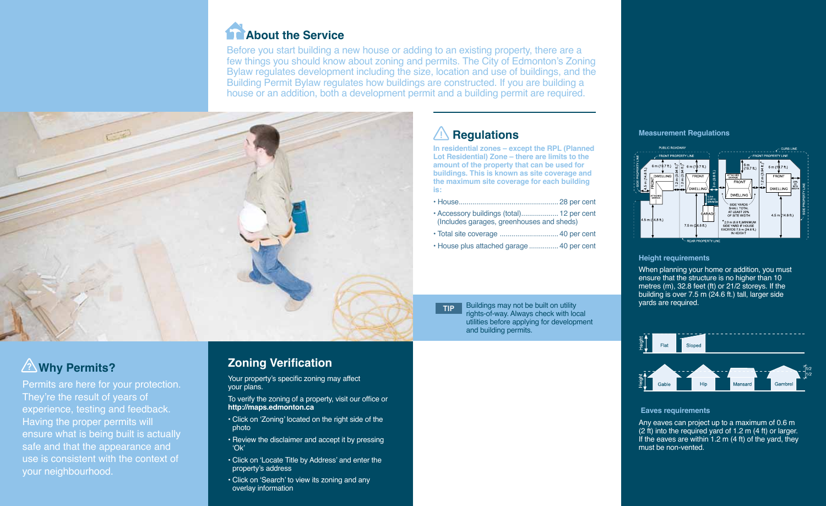# **About the Service**

Before you start building a new house or adding to an existing property, there are a few things you should know about zoning and permits. The City of Edmonton's Zoning Bylaw regulates development including the size, location and use of buildings, and the Building Permit Bylaw regulates how buildings are constructed. If you are building a house or an addition, both a development permit and a building permit are required.



# **Regulations**

**In residential zones – except the RPL (Planned Lot Residential) Zone – there are limits to the amount of the property that can be used for buildings. This is known as site coverage and the maximum site coverage for each building is:** 

• Total site coverage ..............................40 per cent • House plus attached garage ...............40 per cent

TIP Buildings may not be built on utility rights-of-way. Always check with local utilities before applying for development and building permits.

## **Measurement Regulations**



## **Height requirements**

When planning your home or addition, you must ensure that the structure is no higher than 10 metres (m), 32.8 feet (ft) or 21/2 storeys. If the building is over 7.5 m (24.6 ft.) tall, larger side yards are required.

### **Eaves requirements**

Any eaves can project up to a maximum of 0.6 m (2 ft) into the required yard of 1.2 m (4 ft) or larger. If the eaves are within 1.2  $m$  (4 ft) of the yard, they must be non-vented.

# **Why Permits?** ? **Zoning Verification**

Permits are here for your protection. They're the result of years of experience, testing and feedback. Having the proper permits will ensure what is being built is actually safe and that the appearance and use is consistent with the context of your neighbourhood.

Your property's specific zoning may affect your plans.

To verify the zoning of a property, visit our office or **http://maps.edmonton.ca**

- Click on 'Zoning' located on the right side of the photo
- Review the disclaimer and accept it by pressing 'Ok'
- Click on 'Locate Title by Address' and enter the property's address
- Click on 'Search' to view its zoning and any overlay information